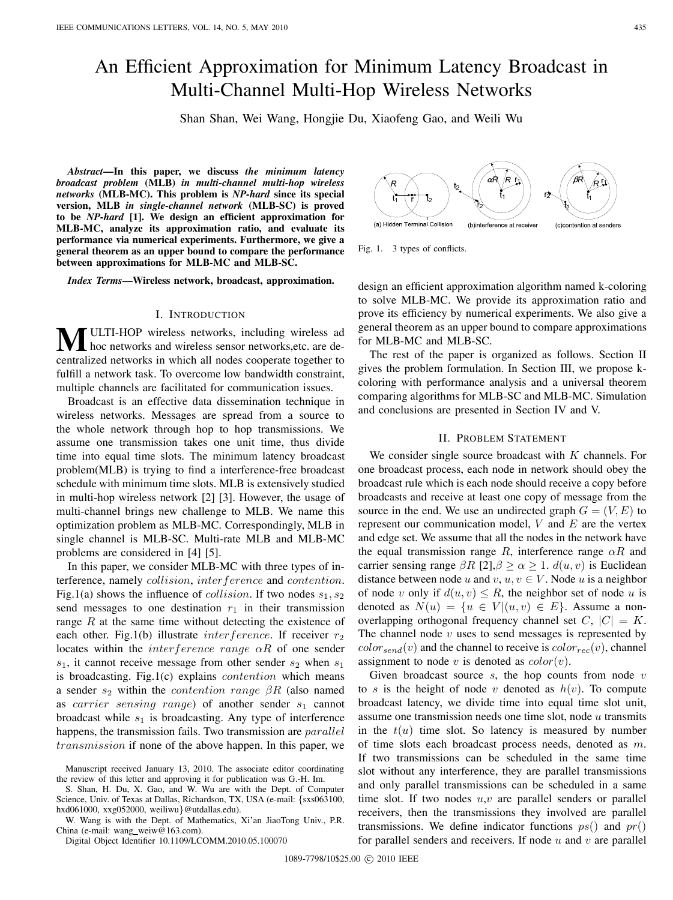# An Efficient Approximation for Minimum Latency Broadcast in Multi-Channel Multi-Hop Wireless Networks

Shan Shan, Wei Wang, Hongjie Du, Xiaofeng Gao, and Weili Wu

*Abstract***—In this paper, we discuss** *the minimum latency broadcast problem* **(MLB)** *in multi-channel multi-hop wireless networks* **(MLB-MC). This problem is** *NP-hard* **since its special version, MLB** *in single-channel network* **(MLB-SC) is proved to be** *NP-hard* **[1]. We design an efficient approximation for MLB-MC, analyze its approximation ratio, and evaluate its performance via numerical experiments. Furthermore, we give a general theorem as an upper bound to compare the performance between approximations for MLB-MC and MLB-SC.**

*Index Terms***—Wireless network, broadcast, approximation.**

#### I. INTRODUCTION

**M**ULTI-HOP wireless networks, including wireless ad hoc networks and wireless sensor networks,etc. are decentralized networks in which all nodes cooperate together to fulfill a network task. To overcome low bandwidth constraint, multiple channels are facilitated for communication issues.

Broadcast is an effective data dissemination technique in wireless networks. Messages are spread from a source to the whole network through hop to hop transmissions. We assume one transmission takes one unit time, thus divide time into equal time slots. The minimum latency broadcast problem(MLB) is trying to find a interference-free broadcast schedule with minimum time slots. MLB is extensively studied in multi-hop wireless network [2] [3]. However, the usage of multi-channel brings new challenge to MLB. We name this optimization problem as MLB-MC. Correspondingly, MLB in single channel is MLB-SC. Multi-rate MLB and MLB-MC problems are considered in [4] [5].

In this paper, we consider MLB-MC with three types of interference, namely collision, interference and contention. Fig.1(a) shows the influence of *collision*. If two nodes  $s_1, s_2$ send messages to one destination  $r_1$  in their transmission range  $R$  at the same time without detecting the existence of each other. Fig.1(b) illustrate *inter ference*. If receiver  $r_2$ locates within the *interference range*  $\alpha R$  of one sender  $s_1$ , it cannot receive message from other sender  $s_2$  when  $s_1$ is broadcasting. Fig.1(c) explains  $contention$  which means a sender  $s_2$  within the *contention range*  $\beta R$  (also named as *carrier sensing range*) of another sender  $s_1$  cannot broadcast while  $s_1$  is broadcasting. Any type of interference happens, the transmission fails. Two transmission are *parallel transmission* if none of the above happen. In this paper, we

S. Shan, H. Du, X. Gao, and W. Wu are with the Dept. of Computer Science, Univ. of Texas at Dallas, Richardson, TX, USA (e-mail: {sxs063100, hxd061000, xxg052000, weiliwu}@utdallas.edu).

W. Wang is with the Dept. of Mathematics, Xi'an JiaoTong Univ., P.R. China (e-mail: wang weiw@163.com).

Digital Object Identifier 10.1109/LCOMM.2010.05.100070



Fig. 1. 3 types of conflicts.

design an efficient approximation algorithm named k-coloring to solve MLB-MC. We provide its approximation ratio and prove its efficiency by numerical experiments. We also give a general theorem as an upper bound to compare approximations for MLB-MC and MLB-SC.

The rest of the paper is organized as follows. Section II gives the problem formulation. In Section III, we propose kcoloring with performance analysis and a universal theorem comparing algorithms for MLB-SC and MLB-MC. Simulation and conclusions are presented in Section IV and V.

# II. PROBLEM STATEMENT

We consider single source broadcast with  $K$  channels. For one broadcast process, each node in network should obey the broadcast rule which is each node should receive a copy before broadcasts and receive at least one copy of message from the source in the end. We use an undirected graph  $G = (V, E)$  to represent our communication model,  $V$  and  $E$  are the vertex and edge set. We assume that all the nodes in the network have the equal transmission range R, interference range  $\alpha R$  and carrier sensing range  $\beta R$  [2],  $\beta \ge \alpha \ge 1$ .  $d(u, v)$  is Euclidean distance between node  $u$  and  $v, u, v \in V$ . Node  $u$  is a neighbor of node v only if  $d(u, v) \le R$ , the neighbor set of node u is denoted as  $N(u) = \{ u \in V | (u, v) \in E \}$ . Assume a nonoverlapping orthogonal frequency channel set  $C, |C| = K$ . The channel node  $v$  uses to send messages is represented by  $color_{send}(v)$  and the channel to receive is  $color_{rec}(v)$ , channel assignment to node  $v$  is denoted as  $color(v)$ .

Given broadcast source  $s$ , the hop counts from node  $v$ to s is the height of node v denoted as  $h(v)$ . To compute broadcast latency, we divide time into equal time slot unit, assume one transmission needs one time slot, node  $u$  transmits in the  $t(u)$  time slot. So latency is measured by number of time slots each broadcast process needs, denoted as  $m$ . If two transmissions can be scheduled in the same time slot without any interference, they are parallel transmissions and only parallel transmissions can be scheduled in a same time slot. If two nodes  $u, v$  are parallel senders or parallel receivers, then the transmissions they involved are parallel transmissions. We define indicator functions  $ps()$  and  $pr()$ for parallel senders and receivers. If node  $u$  and  $v$  are parallel

Manuscript received January 13, 2010. The associate editor coordinating the review of this letter and approving it for publication was G.-H. Im.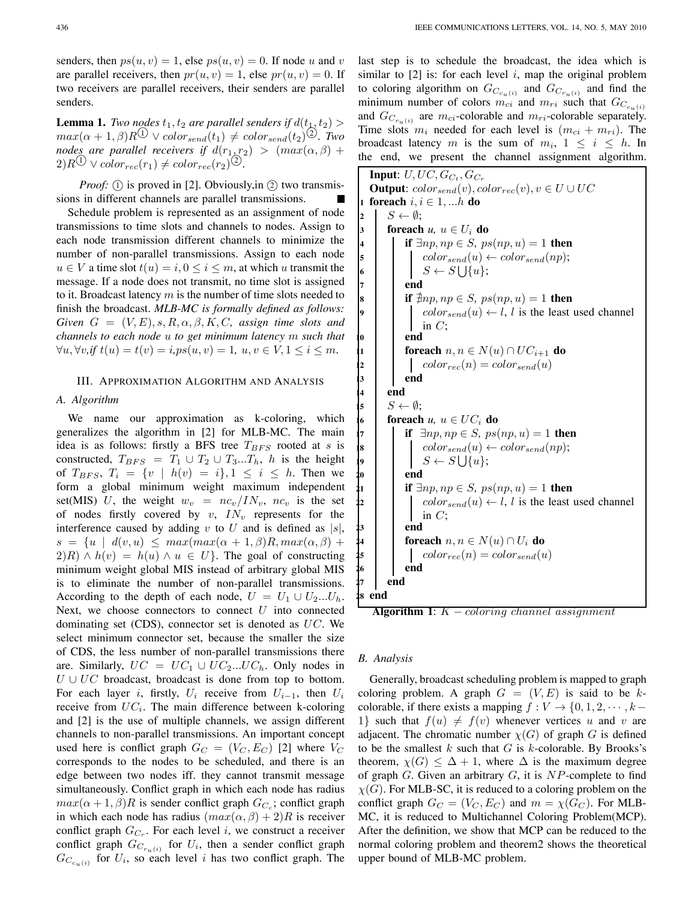senders, then  $ps(u, v) = 1$ , else  $ps(u, v) = 0$ . If node u and v are parallel receivers, then  $pr(u, v) = 1$ , else  $pr(u, v) = 0$ . If two receivers are parallel receivers, their senders are parallel senders.

**Lemma 1.** *Two nodes*  $t_1, t_2$  *are parallel senders if*  $d(t_1, t_2)$  >  $max(\alpha + 1, \beta)R^{(1)} \vee color_{send}(t_1) \neq color_{send}(t_2)^{(2)}$ . Two *nodes are parallel receivers if*  $d(r_1, r_2) > (max(\alpha, \beta) +$  $2)R^{(1)} \vee color_{rec}(r_1) \neq color_{rec}(r_2)^{(2)}$ .

*Proof:*  $(i)$  is proved in [2]. Obviously, in  $(i)$  two transmissions in different channels are parallel transmissions.

Schedule problem is represented as an assignment of node transmissions to time slots and channels to nodes. Assign to each node transmission different channels to minimize the number of non-parallel transmissions. Assign to each node  $u \in V$  a time slot  $t(u) = i, 0 \le i \le m$ , at which u transmit the message. If a node does not transmit, no time slot is assigned to it. Broadcast latency  $m$  is the number of time slots needed to finish the broadcast. *MLB-MC is formally defined as follows: Given*  $G = (V, E), s, R, \alpha, \beta, K, C$ , assign time slots and *channels to each node to get minimum latency such that*  $\forall u, \forall v, \text{if } t(u) = t(v) = i, \text{ps}(u, v) = 1, u, v \in V, 1 \leq i \leq m.$ 

# III. APPROXIMATION ALGORITHM AND ANALYSIS

### *A. Algorithm*

We name our approximation as k-coloring, which generalizes the algorithm in [2] for MLB-MC. The main idea is as follows: firstly a BFS tree  $T_{BFS}$  rooted at s is constructed,  $T_{BFS} = T_1 \cup T_2 \cup T_3...T_h$ , h is the height of  $T_{BFS}, T_i = \{ v \mid h(v) = i \}, 1 \le i \le h$ . Then we form a global minimum weight maximum independent set(MIS) U, the weight  $w_v = nc_v / IN_v$ ,  $nc_v$  is the set of nodes firstly covered by  $v$ ,  $IN_v$  represents for the interference caused by adding v to  $U$  and is defined as  $|s|$ ,  $s = \{ u \mid d(v, u) \leq max(max(\alpha + 1, \beta)R, max(\alpha, \beta) + \alpha \}$  $2(R) \wedge h(v) = h(u) \wedge u \in U$ . The goal of constructing minimum weight global MIS instead of arbitrary global MIS is to eliminate the number of non-parallel transmissions. According to the depth of each node,  $U = U_1 \cup U_2...U_h$ . Next, we choose connectors to connect  $U$  into connected dominating set  $(CDS)$ , connector set is denoted as  $UC$ . We select minimum connector set, because the smaller the size of CDS, the less number of non-parallel transmissions there are. Similarly,  $UC = UC_1 \cup UC_2...UC_h$ . Only nodes in  $U \cup UC$  broadcast, broadcast is done from top to bottom. For each layer i, firstly,  $U_i$  receive from  $U_{i-1}$ , then  $U_i$ receive from  $UC_i$ . The main difference between k-coloring and [2] is the use of multiple channels, we assign different channels to non-parallel transmissions. An important concept used here is conflict graph  $G_C = (V_C, E_C)$  [2] where  $V_C$ corresponds to the nodes to be scheduled, and there is an edge between two nodes iff. they cannot transmit message simultaneously. Conflict graph in which each node has radius  $max(\alpha + 1, \beta)R$  is sender conflict graph  $G_{C_c}$ ; conflict graph in which each node has radius  $(max(\alpha, \beta) + 2)R$  is receiver conflict graph  $G_{C_r}$ . For each level i, we construct a receiver conflict graph  $G_{C_{r_u(i)}}$  for  $U_i$ , then a sender conflict graph  $G_{C_{c_n(i)}}$  for  $U_i$ , so each level *i* has two conflict graph. The last step is to schedule the broadcast, the idea which is similar to  $[2]$  is: for each level i, map the original problem to coloring algorithm on  $G_{C_{c_u(i)}}$  and  $G_{C_{r_u(i)}}$  and find the minimum number of colors  $m_{ci}$  and  $m_{ri}$  such that  $G_{C_{c_n}(i)}$ and  $G_{C_{r_u(i)}}$  are  $m_{ci}$ -colorable and  $m_{ri}$ -colorable separately. Time slots  $m_i$  needed for each level is  $(m_{ci} + m_{ri})$ . The broadcast latency m is the sum of  $m_i$ ,  $1 \le i \le h$ . In the end, we present the channel assignment algorithm.

```
Input: U, UC, G_{C_t}, G_{C_r}Output: color_{send}(v), color_{rec}(v), v \in U \cup UC1 foreach i, i \in 1, ...h do
2 \mid S \leftarrow \emptyset;3 foreach u, u \in U_i do
4 if \exists np, np \in S, ps(np, u) = 1 then
5 () \qquad \qquad \text{color}_{send}(u) \leftarrow color_{send}(np);\bullet | | S \leftarrow S \cup \{u\};7 end
8 if \exists np, np \in S, ps(np, u) = 1 then
                       color_{send}(u) \leftarrow l, l is the least used channel
                       in C:
                 10 end
1 foreach n, n \in N(u) \cap UC_{i+1} do
2 | color_{rec}(n) = color_{send}(u)13 end
14 end
15 S \leftarrow \emptyset;16 foreach u, u \in UC_i do
17 if \exists np, np \in S, ps(np, u) = 1 then
18 \qquad | color_{send}(u) \leftarrow color_{send}(np);\bullet | | S \leftarrow S \bigcup \{u\};20 end
21 if \exists np, np \in S, ps(np, u) = 1 then
22 | \bigcup color<sub>send</sub>(u) \leftarrow l, l is the least used channel
                       in C:
                 23 end
                 foreach n, n \in N(u) \cap U_i do
25 \begin{bmatrix} \cdot & \cdot & \cdot \\ \cdot & \cdot & \cdot \\ \cdot & \cdot & \cdot \\ \cdot & \cdot & \cdot \\ \cdot & \cdot & \cdot \\ \cdot & \cdot & \cdot \\ \cdot & \cdot & \cdot \\ \cdot & \cdot & \cdot \\ \cdot & \cdot & \cdot \\ \cdot & \cdot & \cdot \\ \cdot & \cdot & \cdot \\ \cdot & \cdot & \cdot \\ \cdot & \cdot & \cdot \\ \cdot & \cdot & \cdot \\ \cdot & \cdot & \cdot \\ \cdot & \cdot & \cdot \\ \cdot & \cdot & \cdot \\ \cdot & \cdot & \cdot \\ \cdot & \cdot & \cdot \\ \cdot & \cdot & \cdot \\ \cdot & \cdot & \cdot \\ \cdot & \cdot & \cdot \\ \cdot & \cdot & \cdot \\ \cdot26 end
          27 end
   28 end
```
**Algorithm 1**:  $K$  – coloring channel assignment

# *B. Analysis*

Generally, broadcast scheduling problem is mapped to graph coloring problem. A graph  $G = (V, E)$  is said to be kcolorable, if there exists a mapping  $f : V \to \{0, 1, 2, \dots, k - \}$ 1} such that  $f(u) \neq f(v)$  whenever vertices u and v are adjacent. The chromatic number  $\chi(G)$  of graph G is defined to be the smallest  $k$  such that  $G$  is  $k$ -colorable. By Brooks's theorem,  $\chi(G) \leq \Delta + 1$ , where  $\Delta$  is the maximum degree of graph  $G$ . Given an arbitrary  $G$ , it is  $NP$ -complete to find  $\chi(G)$ . For MLB-SC, it is reduced to a coloring problem on the conflict graph  $G_C = (V_C, E_C)$  and  $m = \chi(G_C)$ . For MLB-MC, it is reduced to Multichannel Coloring Problem(MCP). After the definition, we show that MCP can be reduced to the normal coloring problem and theorem2 shows the theoretical upper bound of MLB-MC problem.